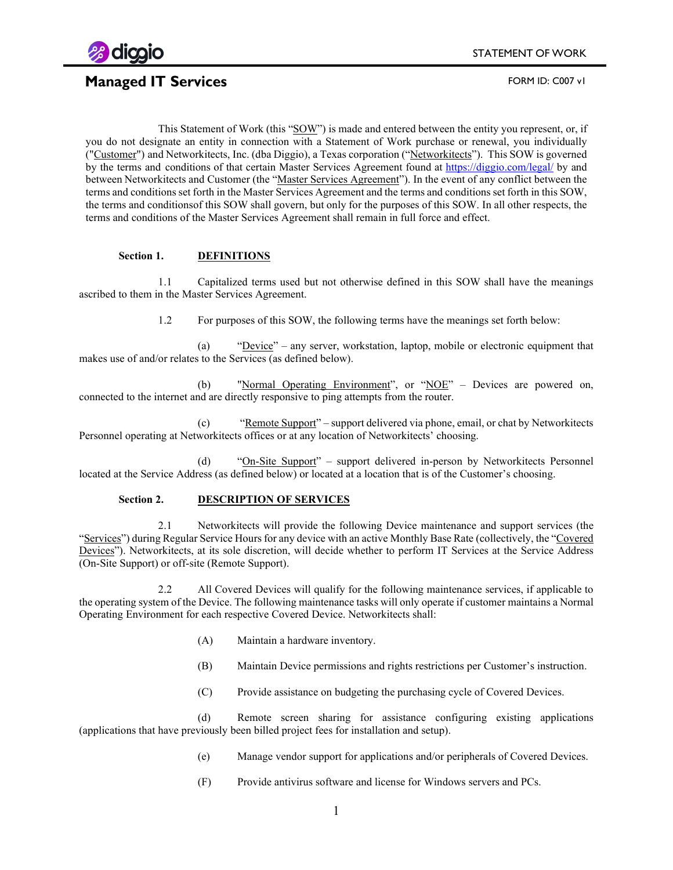

## **Managed IT Services FORM ID: C007 v1**

This Statement of Work (this "SOW") is made and entered between the entity you represent, or, if you do not designate an entity in connection with a Statement of Work purchase or renewal, you individually ("Customer") and Networkitects, Inc. (dba Diggio), a Texas corporation ("Networkitects"). This SOW is governed by the terms and conditions of that certain Master Services Agreement found at [https://diggio.com/legal/](https://diggio.com/legal/msa) by and between Networkitects and Customer (the "Master Services Agreement"). In the event of any conflict between the terms and conditions set forth in the Master Services Agreement and the terms and conditions set forth in this SOW, the terms and conditionsof this SOW shall govern, but only for the purposes of this SOW. In all other respects, the terms and conditions of the Master Services Agreement shall remain in full force and effect.

### **Section 1. DEFINITIONS**

1.1 Capitalized terms used but not otherwise defined in this SOW shall have the meanings ascribed to them in the Master Services Agreement.

1.2 For purposes of this SOW, the following terms have the meanings set forth below:

(a) "Device" – any server, workstation, laptop, mobile or electronic equipment that makes use of and/or relates to the Services (as defined below).

(b) "Normal Operating Environment", or "NOE" – Devices are powered on, connected to the internet and are directly responsive to ping attempts from the router.

(c) "Remote Support" – support delivered via phone, email, or chat by Networkitects Personnel operating at Networkitects offices or at any location of Networkitects' choosing.

(d) "On-Site Support" – support delivered in-person by Networkitects Personnel located at the Service Address (as defined below) or located at a location that is of the Customer's choosing.

### **Section 2. DESCRIPTION OF SERVICES**

2.1 Networkitects will provide the following Device maintenance and support services (the "Services") during Regular Service Hours for any device with an active Monthly Base Rate (collectively, the "Covered Devices"). Networkitects, at its sole discretion, will decide whether to perform IT Services at the Service Address (On-Site Support) or off-site (Remote Support).

2.2 All Covered Devices will qualify for the following maintenance services, if applicable to the operating system of the Device. The following maintenance tasks will only operate if customer maintains a Normal Operating Environment for each respective Covered Device. Networkitects shall:

- (A) Maintain a hardware inventory.
- (B) Maintain Device permissions and rights restrictions per Customer's instruction.
- (C) Provide assistance on budgeting the purchasing cycle of Covered Devices.

(d) Remote screen sharing for assistance configuring existing applications (applications that have previously been billed project fees for installation and setup).

- (e) Manage vendor support for applications and/or peripherals of Covered Devices.
- (F) Provide antivirus software and license for Windows servers and PCs.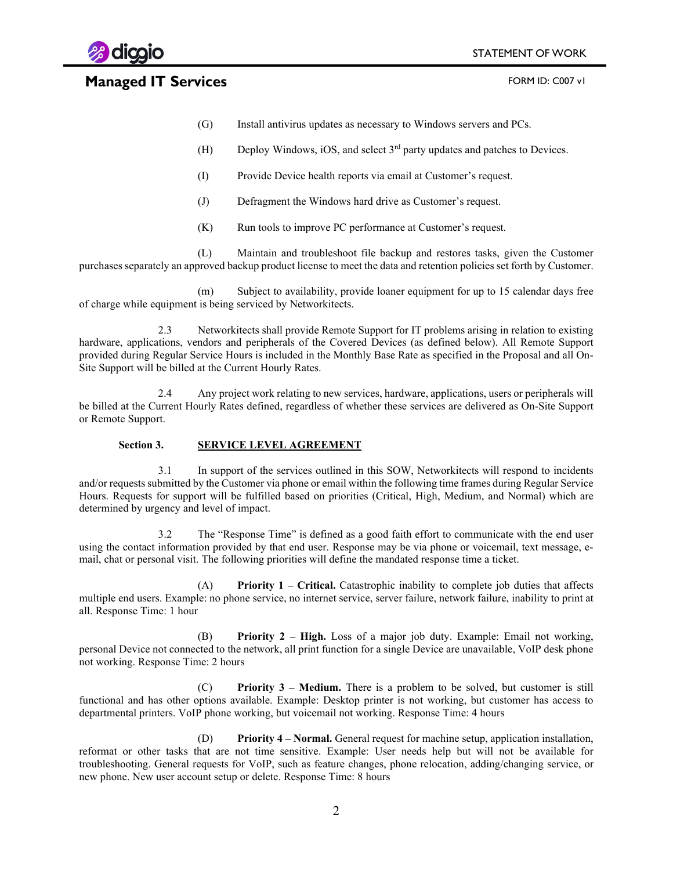



# **Managed IT Services FORM ID: C007 v1**

- (G) Install antivirus updates as necessary to Windows servers and PCs.
- (H) Deploy Windows, iOS, and select  $3<sup>rd</sup>$  party updates and patches to Devices.
- (I) Provide Device health reports via email at Customer's request.
- (J) Defragment the Windows hard drive as Customer's request.
- (K) Run tools to improve PC performance at Customer's request.

(L) Maintain and troubleshoot file backup and restores tasks, given the Customer purchases separately an approved backup product license to meet the data and retention policies set forth by Customer.

(m) Subject to availability, provide loaner equipment for up to 15 calendar days free of charge while equipment is being serviced by Networkitects.

2.3 Networkitects shall provide Remote Support for IT problems arising in relation to existing hardware, applications, vendors and peripherals of the Covered Devices (as defined below). All Remote Support provided during Regular Service Hours is included in the Monthly Base Rate as specified in the Proposal and all On-Site Support will be billed at the Current Hourly Rates.

2.4 Any project work relating to new services, hardware, applications, users or peripherals will be billed at the Current Hourly Rates defined, regardless of whether these services are delivered as On-Site Support or Remote Support.

### **Section 3. SERVICE LEVEL AGREEMENT**

3.1 In support of the services outlined in this SOW, Networkitects will respond to incidents and/or requests submitted by the Customer via phone or email within the following time frames during Regular Service Hours. Requests for support will be fulfilled based on priorities (Critical, High, Medium, and Normal) which are determined by urgency and level of impact.

3.2 The "Response Time" is defined as a good faith effort to communicate with the end user using the contact information provided by that end user. Response may be via phone or voicemail, text message, email, chat or personal visit. The following priorities will define the mandated response time a ticket.

(A) **Priority 1 – Critical.** Catastrophic inability to complete job duties that affects multiple end users. Example: no phone service, no internet service, server failure, network failure, inability to print at all. Response Time: 1 hour

(B) **Priority 2 – High.** Loss of a major job duty. Example: Email not working, personal Device not connected to the network, all print function for a single Device are unavailable, VoIP desk phone not working. Response Time: 2 hours

(C) **Priority 3 – Medium.** There is a problem to be solved, but customer is still functional and has other options available. Example: Desktop printer is not working, but customer has access to departmental printers. VoIP phone working, but voicemail not working. Response Time: 4 hours

(D) **Priority 4 – Normal.** General request for machine setup, application installation, reformat or other tasks that are not time sensitive. Example: User needs help but will not be available for troubleshooting. General requests for VoIP, such as feature changes, phone relocation, adding/changing service, or new phone. New user account setup or delete. Response Time: 8 hours